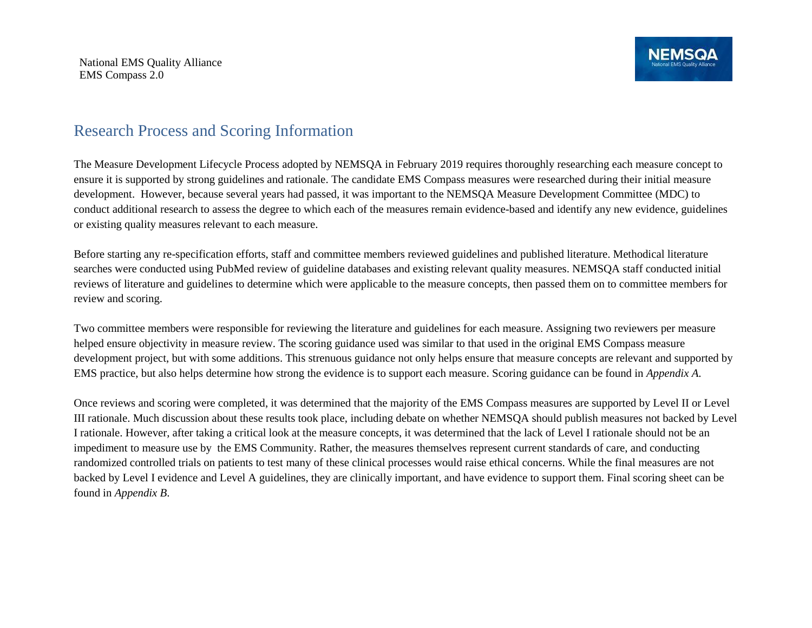National EMS Quality Alliance EMS Compass 2.0

## Research Process and Scoring Information

The Measure Development Lifecycle Process adopted by NEMSQA in February 2019 requires thoroughly researching each measure concept to ensure it is supported by strong guidelines and rationale. The candidate EMS Compass measures were researched during their initial measure development. However, because several years had passed, it was important to the NEMSQA Measure Development Committee (MDC) to conduct additional research to assess the degree to which each of the measures remain evidence-based and identify any new evidence, guidelines or existing quality measures relevant to each measure.

Before starting any re-specification efforts, staff and committee members reviewed guidelines and published literature. Methodical literature searches were conducted using PubMed review of guideline databases and existing relevant quality measures. NEMSQA staff conducted initial reviews of literature and guidelines to determine which were applicable to the measure concepts, then passed them on to committee members for review and scoring.

Two committee members were responsible for reviewing the literature and guidelines for each measure. Assigning two reviewers per measure helped ensure objectivity in measure review. The scoring guidance used was similar to that used in the original EMS Compass measure development project, but with some additions. This strenuous guidance not only helps ensure that measure concepts are relevant and supported by EMS practice, but also helps determine how strong the evidence is to support each measure. Scoring guidance can be found in *Appendix A*.

Once reviews and scoring were completed, it was determined that the majority of the EMS Compass measures are supported by Level II or Level III rationale. Much discussion about these results took place, including debate on whether NEMSQA should publish measures not backed by Level I rationale. However, after taking a critical look at the measure concepts, it was determined that the lack of Level I rationale should not be an impediment to measure use by the EMS Community. Rather, the measures themselves represent current standards of care, and conducting randomized controlled trials on patients to test many of these clinical processes would raise ethical concerns. While the final measures are not backed by Level I evidence and Level A guidelines, they are clinically important, and have evidence to support them. Final scoring sheet can be found in *Appendix B*.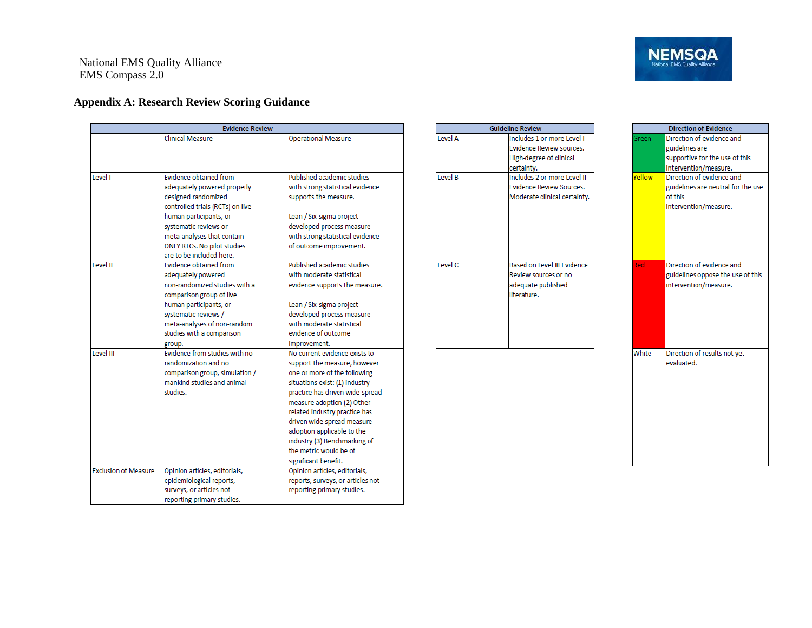National EMS Quality Alliance EMS Compass 2.0

## **Appendix A: Research Review Scoring Guidance**

| <b>Evidence Review</b>      |                                    |                                   |  |  |  |  |  |
|-----------------------------|------------------------------------|-----------------------------------|--|--|--|--|--|
|                             | Clinical Measure                   | <b>Operational Measure</b>        |  |  |  |  |  |
|                             |                                    |                                   |  |  |  |  |  |
|                             |                                    |                                   |  |  |  |  |  |
|                             |                                    |                                   |  |  |  |  |  |
| Level I                     | Evidence obtained from             | Published academic studies        |  |  |  |  |  |
|                             | adequately powered properly        | with strong statistical evidence  |  |  |  |  |  |
|                             | designed randomized                | supports the measure.             |  |  |  |  |  |
|                             | controlled trials (RCTs) on live   |                                   |  |  |  |  |  |
|                             | human participants, or             | Lean / Six-sigma project          |  |  |  |  |  |
|                             | systematic reviews or              | developed process measure         |  |  |  |  |  |
|                             | meta-analyses that contain         | with strong statistical evidence  |  |  |  |  |  |
|                             | <b>ONLY RTCs. No pilot studies</b> | of outcome improvement.           |  |  |  |  |  |
|                             | are to be included here.           |                                   |  |  |  |  |  |
| I evel II                   | <b>Evidence obtained from</b>      | Published academic studies        |  |  |  |  |  |
|                             | adequately powered                 | with moderate statistical         |  |  |  |  |  |
|                             | non-randomized studies with a      | evidence supports the measure.    |  |  |  |  |  |
|                             | comparison group of live           |                                   |  |  |  |  |  |
|                             | human participants, or             | Lean / Six-sigma project          |  |  |  |  |  |
|                             | systematic reviews /               | developed process measure         |  |  |  |  |  |
|                             | meta-analyses of non-random        | with moderate statistical         |  |  |  |  |  |
|                             | studies with a comparison          | evidence of outcome               |  |  |  |  |  |
|                             | group.                             | improvement.                      |  |  |  |  |  |
| Level III                   | Evidence from studies with no      | No current evidence exists to     |  |  |  |  |  |
|                             | randomization and no               | support the measure, however      |  |  |  |  |  |
|                             | comparison group, simulation /     | one or more of the following      |  |  |  |  |  |
|                             | mankind studies and animal         | situations exist: (1) industry    |  |  |  |  |  |
|                             | studies.                           | practice has driven wide-spread   |  |  |  |  |  |
|                             |                                    | measure adoption (2) Other        |  |  |  |  |  |
|                             |                                    | related industry practice has     |  |  |  |  |  |
|                             |                                    | driven wide-spread measure        |  |  |  |  |  |
|                             |                                    | adoption applicable to the        |  |  |  |  |  |
|                             |                                    | industry (3) Benchmarking of      |  |  |  |  |  |
|                             |                                    | the metric would be of            |  |  |  |  |  |
|                             |                                    | significant benefit.              |  |  |  |  |  |
| <b>Exclusion of Measure</b> | Opinion articles, editorials,      | Opinion articles, editorials,     |  |  |  |  |  |
|                             | epidemiological reports,           | reports, surveys, or articles not |  |  |  |  |  |
|                             | surveys, or articles not           | reporting primary studies.        |  |  |  |  |  |
|                             | reporting primary studies.         |                                   |  |  |  |  |  |

| <b>Guideline Review</b> |                                                                                                 |  |  |  |  |
|-------------------------|-------------------------------------------------------------------------------------------------|--|--|--|--|
| Level A                 | Includes 1 or more Level I<br>Evidence Review sources.<br>High-degree of clinical<br>certainty. |  |  |  |  |
| Level B                 | Includes 2 or more Level II<br>Evidence Review Sources.<br>Moderate clinical certainty.         |  |  |  |  |
| Level <sub>C</sub>      | Based on Level III Evidence<br>Review sources or no<br>adequate published<br>literature.        |  |  |  |  |

| <b>Direction of Evidence</b>       |                                    |  |  |  |  |
|------------------------------------|------------------------------------|--|--|--|--|
| Direction of evidence and<br>Green |                                    |  |  |  |  |
|                                    | guidelines are                     |  |  |  |  |
|                                    | supportive for the use of this     |  |  |  |  |
|                                    | intervention/measure.              |  |  |  |  |
| Yellow                             | Direction of evidence and          |  |  |  |  |
|                                    | guidelines are neutral for the use |  |  |  |  |
|                                    | of this                            |  |  |  |  |
|                                    |                                    |  |  |  |  |
|                                    | intervention/measure.              |  |  |  |  |
|                                    |                                    |  |  |  |  |
|                                    |                                    |  |  |  |  |
|                                    |                                    |  |  |  |  |
|                                    |                                    |  |  |  |  |
|                                    |                                    |  |  |  |  |
| Red                                | Direction of evidence and          |  |  |  |  |
|                                    | guidelines oppose the use of this  |  |  |  |  |
|                                    | intervention/measure.              |  |  |  |  |
|                                    |                                    |  |  |  |  |
|                                    |                                    |  |  |  |  |
|                                    |                                    |  |  |  |  |
|                                    |                                    |  |  |  |  |
|                                    |                                    |  |  |  |  |
|                                    |                                    |  |  |  |  |
| White                              | Direction of results not yet       |  |  |  |  |
|                                    | evaluated.                         |  |  |  |  |
|                                    |                                    |  |  |  |  |
|                                    |                                    |  |  |  |  |
|                                    |                                    |  |  |  |  |
|                                    |                                    |  |  |  |  |
|                                    |                                    |  |  |  |  |
|                                    |                                    |  |  |  |  |
|                                    |                                    |  |  |  |  |
|                                    |                                    |  |  |  |  |
|                                    |                                    |  |  |  |  |
|                                    |                                    |  |  |  |  |
|                                    |                                    |  |  |  |  |